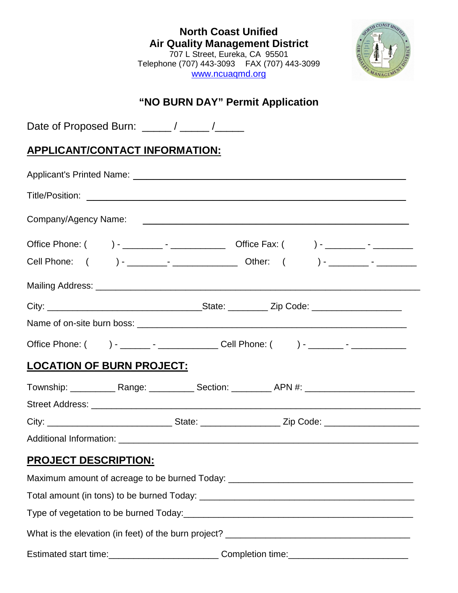| <b>North Coast Unified</b><br><b>Air Quality Management District</b> |  |  |
|----------------------------------------------------------------------|--|--|
|                                                                      |  |  |
| Telephone (707) 443-3093    FAX (707) 443-3099                       |  |  |
| www.ncuaqmd.org                                                      |  |  |



# **"NO BURN DAY" Permit Application**

Date of Proposed Burn: \_\_\_\_\_ / \_\_\_\_\_ /\_\_\_\_\_\_

## **APPLICANT/CONTACT INFORMATION:**

| Office Phone: ( ) - ______ - _________________ Cell Phone: ( ) - _______ - ____________ |  |  |
|-----------------------------------------------------------------------------------------|--|--|
| <b>LOCATION OF BURN PROJECT:</b>                                                        |  |  |
|                                                                                         |  |  |
|                                                                                         |  |  |
|                                                                                         |  |  |
|                                                                                         |  |  |
| <b>PROJECT DESCRIPTION:</b>                                                             |  |  |
| Maximum amount of acreage to be burned Today: __________________________________        |  |  |
|                                                                                         |  |  |
|                                                                                         |  |  |
|                                                                                         |  |  |
| Estimated start time:____________________________Completion time:________________       |  |  |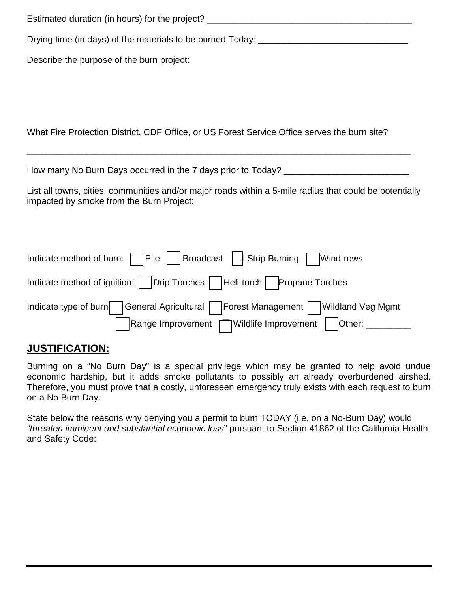Estimated duration (in hours) for the project? \_\_\_\_\_\_\_\_\_\_\_\_\_\_\_\_\_\_\_\_\_\_\_\_\_\_\_\_\_\_\_\_\_ Drying time (in days) of the materials to be burned Today: \_\_\_\_\_\_\_\_\_\_\_\_\_\_\_\_\_\_\_\_\_\_\_\_\_\_\_\_ Describe the purpose of the burn project:

What Fire Protection District, CDF Office, or US Forest Service Office serves the burn site?

How many No Burn Days occurred in the 7 days prior to Today? \_\_\_\_\_\_\_\_\_\_\_\_\_\_\_\_\_\_\_

\_\_\_\_\_\_\_\_\_\_\_\_\_\_\_\_\_\_\_\_\_\_\_\_\_\_\_\_\_\_\_\_\_\_\_\_\_\_\_\_\_\_\_\_\_\_\_\_\_\_\_\_\_\_\_\_\_\_\_\_\_\_\_\_\_\_\_\_\_\_\_\_\_\_\_\_\_

List all towns, cities, communities and/or major roads within a 5-mile radius that could be potentially impacted by smoke from the Burn Project:

| Indicate method of burn: $\Box$ Pile     Broadcast     Strip Burning $\Box$ Wind-rows |  |
|---------------------------------------------------------------------------------------|--|
| Indicate method of ignition:    Drip Torches    Heli-torch   Propane Torches          |  |
| Indicate type of burn General Agricultural   Forest Management   Wildland Veg Mgmt    |  |
| Range Improvement   Wildlife Improvement   Other: ________                            |  |

### **JUSTIFICATION:**

Burning on a "No Burn Day" is a special privilege which may be granted to help avoid undue economic hardship, but it adds smoke pollutants to possibly an already overburdened airshed. Therefore, you must prove that a costly, unforeseen emergency truly exists with each request to burn on a No Burn Day.

State below the reasons why denying you a permit to burn TODAY (i.e. on a No-Burn Day) would *"threaten imminent and substantial economic loss*" pursuant to Section 41862 of the California Health and Safety Code: